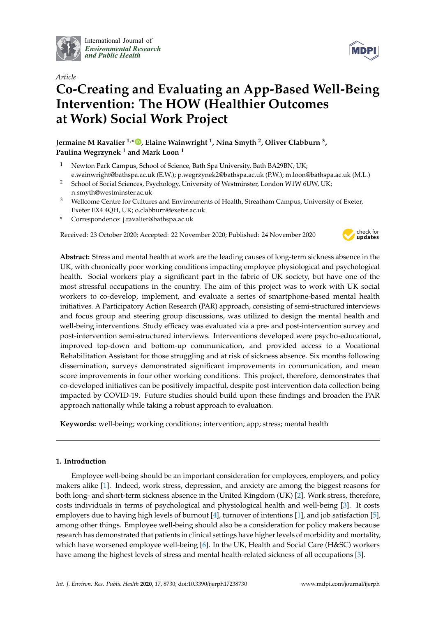

International Journal of *[Environmental Research](http://www.mdpi.com/journal/ijerph) and Public Health*



# *Article* **Co-Creating and Evaluating an App-Based Well-Being Intervention: The HOW (Healthier Outcomes at Work) Social Work Project**

**Jermaine M Ravalier 1,[\\*](https://orcid.org/0000-0002-8418-4841) , Elaine Wainwright <sup>1</sup> , Nina Smyth <sup>2</sup> , Oliver Clabburn <sup>3</sup> , Paulina Wegrzynek <sup>1</sup> and Mark Loon <sup>1</sup>**

- <sup>1</sup> Newton Park Campus, School of Science, Bath Spa University, Bath BA29BN, UK; e.wainwright@bathspa.ac.uk (E.W.); p.wegrzynek2@bathspa.ac.uk (P.W.); m.loon@bathspa.ac.uk (M.L.)
- <sup>2</sup> School of Social Sciences, Psychology, University of Westminster, London W1W 6UW, UK; n.smyth@westminster.ac.uk
- <sup>3</sup> Wellcome Centre for Cultures and Environments of Health, Streatham Campus, University of Exeter, Exeter EX4 4QH, UK; o.clabburn@exeter.ac.uk
- **\*** Correspondence: j.ravalier@bathspa.ac.uk

Received: 23 October 2020; Accepted: 22 November 2020; Published: 24 November 2020



**Abstract:** Stress and mental health at work are the leading causes of long-term sickness absence in the UK, with chronically poor working conditions impacting employee physiological and psychological health. Social workers play a significant part in the fabric of UK society, but have one of the most stressful occupations in the country. The aim of this project was to work with UK social workers to co-develop, implement, and evaluate a series of smartphone-based mental health initiatives. A Participatory Action Research (PAR) approach, consisting of semi-structured interviews and focus group and steering group discussions, was utilized to design the mental health and well-being interventions. Study efficacy was evaluated via a pre- and post-intervention survey and post-intervention semi-structured interviews. Interventions developed were psycho-educational, improved top-down and bottom-up communication, and provided access to a Vocational Rehabilitation Assistant for those struggling and at risk of sickness absence. Six months following dissemination, surveys demonstrated significant improvements in communication, and mean score improvements in four other working conditions. This project, therefore, demonstrates that co-developed initiatives can be positively impactful, despite post-intervention data collection being impacted by COVID-19. Future studies should build upon these findings and broaden the PAR approach nationally while taking a robust approach to evaluation.

**Keywords:** well-being; working conditions; intervention; app; stress; mental health

# **1. Introduction**

Employee well-being should be an important consideration for employees, employers, and policy makers alike [\[1\]](#page-12-0). Indeed, work stress, depression, and anxiety are among the biggest reasons for both long- and short-term sickness absence in the United Kingdom (UK) [\[2\]](#page-12-1). Work stress, therefore, costs individuals in terms of psychological and physiological health and well-being [\[3\]](#page-12-2). It costs employers due to having high levels of burnout [\[4\]](#page-12-3), turnover of intentions [\[1\]](#page-12-0), and job satisfaction [\[5\]](#page-12-4), among other things. Employee well-being should also be a consideration for policy makers because research has demonstrated that patients in clinical settings have higher levels of morbidity and mortality, which have worsened employee well-being [\[6\]](#page-12-5). In the UK, Health and Social Care (H&SC) workers have among the highest levels of stress and mental health-related sickness of all occupations [\[3\]](#page-12-2).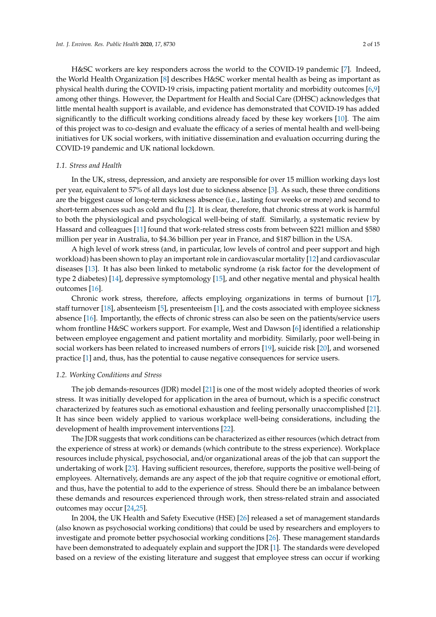H&SC workers are key responders across the world to the COVID-19 pandemic [\[7\]](#page-12-6). Indeed, the World Health Organization [\[8\]](#page-12-7) describes H&SC worker mental health as being as important as physical health during the COVID-19 crisis, impacting patient mortality and morbidity outcomes [\[6](#page-12-5)[,9\]](#page-12-8) among other things. However, the Department for Health and Social Care (DHSC) acknowledges that little mental health support is available, and evidence has demonstrated that COVID-19 has added significantly to the difficult working conditions already faced by these key workers [\[10\]](#page-12-9). The aim of this project was to co-design and evaluate the efficacy of a series of mental health and well-being initiatives for UK social workers, with initiative dissemination and evaluation occurring during the COVID-19 pandemic and UK national lockdown.

## *1.1. Stress and Health*

In the UK, stress, depression, and anxiety are responsible for over 15 million working days lost per year, equivalent to 57% of all days lost due to sickness absence [\[3\]](#page-12-2). As such, these three conditions are the biggest cause of long-term sickness absence (i.e., lasting four weeks or more) and second to short-term absences such as cold and flu [\[2\]](#page-12-1). It is clear, therefore, that chronic stress at work is harmful to both the physiological and psychological well-being of staff. Similarly, a systematic review by Hassard and colleagues [\[11\]](#page-12-10) found that work-related stress costs from between \$221 million and \$580 million per year in Australia, to \$4.36 billion per year in France, and \$187 billion in the USA.

A high level of work stress (and, in particular, low levels of control and peer support and high workload) has been shown to play an important role in cardiovascular mortality [\[12\]](#page-13-0) and cardiovascular diseases [\[13\]](#page-13-1). It has also been linked to metabolic syndrome (a risk factor for the development of type 2 diabetes) [\[14\]](#page-13-2), depressive symptomology [\[15\]](#page-13-3), and other negative mental and physical health outcomes [\[16\]](#page-13-4).

Chronic work stress, therefore, affects employing organizations in terms of burnout [\[17\]](#page-13-5), staff turnover [\[18\]](#page-13-6), absenteeism [\[5\]](#page-12-4), presenteeism [\[1\]](#page-12-0), and the costs associated with employee sickness absence [\[16\]](#page-13-4). Importantly, the effects of chronic stress can also be seen on the patients/service users whom frontline H&SC workers support. For example, West and Dawson [\[6\]](#page-12-5) identified a relationship between employee engagement and patient mortality and morbidity. Similarly, poor well-being in social workers has been related to increased numbers of errors [\[19\]](#page-13-7), suicide risk [\[20\]](#page-13-8), and worsened practice [\[1\]](#page-12-0) and, thus, has the potential to cause negative consequences for service users.

#### *1.2. Working Conditions and Stress*

The job demands-resources (JDR) model [\[21\]](#page-13-9) is one of the most widely adopted theories of work stress. It was initially developed for application in the area of burnout, which is a specific construct characterized by features such as emotional exhaustion and feeling personally unaccomplished [\[21\]](#page-13-9). It has since been widely applied to various workplace well-being considerations, including the development of health improvement interventions [\[22\]](#page-13-10).

The JDR suggests that work conditions can be characterized as either resources (which detract from the experience of stress at work) or demands (which contribute to the stress experience). Workplace resources include physical, psychosocial, and/or organizational areas of the job that can support the undertaking of work [\[23\]](#page-13-11). Having sufficient resources, therefore, supports the positive well-being of employees. Alternatively, demands are any aspect of the job that require cognitive or emotional effort, and thus, have the potential to add to the experience of stress. Should there be an imbalance between these demands and resources experienced through work, then stress-related strain and associated outcomes may occur [\[24,](#page-13-12)[25\]](#page-13-13).

In 2004, the UK Health and Safety Executive (HSE) [\[26\]](#page-13-14) released a set of management standards (also known as psychosocial working conditions) that could be used by researchers and employers to investigate and promote better psychosocial working conditions [\[26\]](#page-13-14). These management standards have been demonstrated to adequately explain and support the JDR [\[1\]](#page-12-0). The standards were developed based on a review of the existing literature and suggest that employee stress can occur if working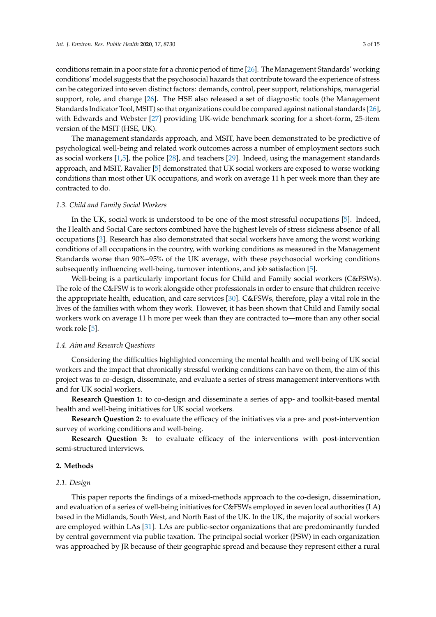conditions remain in a poor state for a chronic period of time [\[26\]](#page-13-14). The Management Standards' working conditions' model suggests that the psychosocial hazards that contribute toward the experience of stress can be categorized into seven distinct factors: demands, control, peer support, relationships, managerial support, role, and change [\[26\]](#page-13-14). The HSE also released a set of diagnostic tools (the Management Standards Indicator Tool, MSIT) so that organizations could be compared against national standards [\[26\]](#page-13-14), with Edwards and Webster [\[27\]](#page-13-15) providing UK-wide benchmark scoring for a short-form, 25-item version of the MSIT (HSE, UK).

The management standards approach, and MSIT, have been demonstrated to be predictive of psychological well-being and related work outcomes across a number of employment sectors such as social workers [\[1,](#page-12-0)[5\]](#page-12-4), the police [\[28\]](#page-13-16), and teachers [\[29\]](#page-13-17). Indeed, using the management standards approach, and MSIT, Ravalier [\[5\]](#page-12-4) demonstrated that UK social workers are exposed to worse working conditions than most other UK occupations, and work on average 11 h per week more than they are contracted to do.

#### *1.3. Child and Family Social Workers*

In the UK, social work is understood to be one of the most stressful occupations [\[5\]](#page-12-4). Indeed, the Health and Social Care sectors combined have the highest levels of stress sickness absence of all occupations [\[3\]](#page-12-2). Research has also demonstrated that social workers have among the worst working conditions of all occupations in the country, with working conditions as measured in the Management Standards worse than 90%–95% of the UK average, with these psychosocial working conditions subsequently influencing well-being, turnover intentions, and job satisfaction [\[5\]](#page-12-4).

Well-being is a particularly important focus for Child and Family social workers (C&FSWs). The role of the C&FSW is to work alongside other professionals in order to ensure that children receive the appropriate health, education, and care services [\[30\]](#page-13-18). C&FSWs, therefore, play a vital role in the lives of the families with whom they work. However, it has been shown that Child and Family social workers work on average 11 h more per week than they are contracted to—more than any other social work role [\[5\]](#page-12-4).

## *1.4. Aim and Research Questions*

Considering the difficulties highlighted concerning the mental health and well-being of UK social workers and the impact that chronically stressful working conditions can have on them, the aim of this project was to co-design, disseminate, and evaluate a series of stress management interventions with and for UK social workers.

**Research Question 1:** to co-design and disseminate a series of app- and toolkit-based mental health and well-being initiatives for UK social workers.

**Research Question 2:** to evaluate the efficacy of the initiatives via a pre- and post-intervention survey of working conditions and well-being.

**Research Question 3:** to evaluate efficacy of the interventions with post-intervention semi-structured interviews.

# **2. Methods**

#### *2.1. Design*

This paper reports the findings of a mixed-methods approach to the co-design, dissemination, and evaluation of a series of well-being initiatives for C&FSWs employed in seven local authorities (LA) based in the Midlands, South West, and North East of the UK. In the UK, the majority of social workers are employed within LAs [\[31\]](#page-13-19). LAs are public-sector organizations that are predominantly funded by central government via public taxation. The principal social worker (PSW) in each organization was approached by JR because of their geographic spread and because they represent either a rural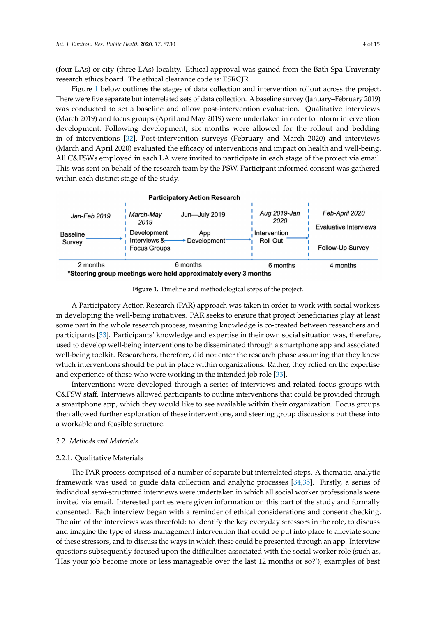(four LAs) or city (three LAs) locality. Ethical approval was gained from the Bath Spa University research ethics board. The ethical clearance code is: ESRCJR.

Figure [1](#page-3-0) below outlines the stages of data collection and intervention rollout across the project. There were five separate but interrelated sets of data collection. A baseline survey (January–February 2019) was conducted to set a baseline and allow post-intervention evaluation. Qualitative interviews (March 2019) and focus groups (April and May 2019) were undertaken in order to inform intervention development. Following development, six months were allowed for the rollout and bedding in of interventions [\[32\]](#page-13-20). Post-intervention surveys (February and March 2020) and interviews (March and April 2020) evaluated the efficacy of interventions and impact on health and well-being. All C&FSWs employed in each LA were invited to participate in each stage of the project via email. This was sent on behalf of the research team by the PSW. Participant informed consent was gathered within each distinct stage of the study.

<span id="page-3-0"></span>

**Figure 1.** Timeline and methodological steps of the project.

A Participatory Action Research (PAR) approach was taken in order to work with social workers in developing the well-being initiatives. PAR seeks to ensure that project beneficiaries play at least some part in the whole research process, meaning knowledge is co-created between researchers and participants [\[33\]](#page-13-21). Participants' knowledge and expertise in their own social situation was, therefore, used to develop well-being interventions to be disseminated through a smartphone app and associated well-being toolkit. Researchers, therefore, did not enter the research phase assuming that they knew which interventions should be put in place within organizations. Rather, they relied on the expertise and experience of those who were working in the intended job role [\[33\]](#page-13-21).

Interventions were developed through a series of interviews and related focus groups with C&FSW staff. Interviews allowed participants to outline interventions that could be provided through a smartphone app, which they would like to see available within their organization. Focus groups then allowed further exploration of these interventions, and steering group discussions put these into a workable and feasible structure.

# *2.2. Methods and Materials*

## 2.2.1. Qualitative Materials

The PAR process comprised of a number of separate but interrelated steps. A thematic, analytic framework was used to guide data collection and analytic processes [\[34,](#page-13-22)[35\]](#page-14-0). Firstly, a series of individual semi-structured interviews were undertaken in which all social worker professionals were invited via email. Interested parties were given information on this part of the study and formally consented. Each interview began with a reminder of ethical considerations and consent checking. The aim of the interviews was threefold: to identify the key everyday stressors in the role, to discuss and imagine the type of stress management intervention that could be put into place to alleviate some of these stressors, and to discuss the ways in which these could be presented through an app. Interview questions subsequently focused upon the difficulties associated with the social worker role (such as, 'Has your job become more or less manageable over the last 12 months or so?'), examples of best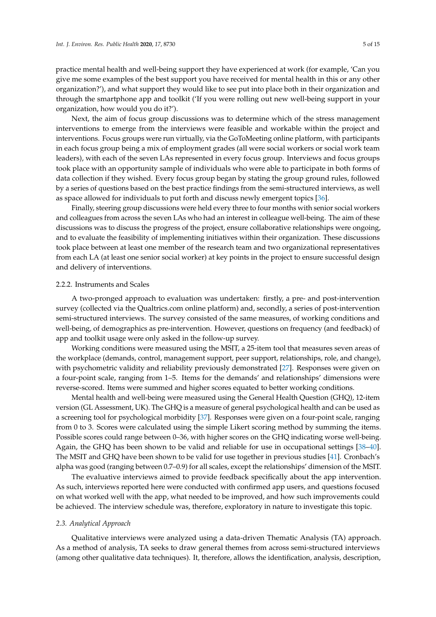practice mental health and well-being support they have experienced at work (for example, 'Can you give me some examples of the best support you have received for mental health in this or any other organization?'), and what support they would like to see put into place both in their organization and through the smartphone app and toolkit ('If you were rolling out new well-being support in your organization, how would you do it?').

Next, the aim of focus group discussions was to determine which of the stress management interventions to emerge from the interviews were feasible and workable within the project and interventions. Focus groups were run virtually, via the GoToMeeting online platform, with participants in each focus group being a mix of employment grades (all were social workers or social work team leaders), with each of the seven LAs represented in every focus group. Interviews and focus groups took place with an opportunity sample of individuals who were able to participate in both forms of data collection if they wished. Every focus group began by stating the group ground rules, followed by a series of questions based on the best practice findings from the semi-structured interviews, as well as space allowed for individuals to put forth and discuss newly emergent topics [\[36\]](#page-14-1).

Finally, steering group discussions were held every three to four months with senior social workers and colleagues from across the seven LAs who had an interest in colleague well-being. The aim of these discussions was to discuss the progress of the project, ensure collaborative relationships were ongoing, and to evaluate the feasibility of implementing initiatives within their organization. These discussions took place between at least one member of the research team and two organizational representatives from each LA (at least one senior social worker) at key points in the project to ensure successful design and delivery of interventions.

# 2.2.2. Instruments and Scales

A two-pronged approach to evaluation was undertaken: firstly, a pre- and post-intervention survey (collected via the Qualtrics.com online platform) and, secondly, a series of post-intervention semi-structured interviews. The survey consisted of the same measures, of working conditions and well-being, of demographics as pre-intervention. However, questions on frequency (and feedback) of app and toolkit usage were only asked in the follow-up survey.

Working conditions were measured using the MSIT, a 25-item tool that measures seven areas of the workplace (demands, control, management support, peer support, relationships, role, and change), with psychometric validity and reliability previously demonstrated [\[27\]](#page-13-15). Responses were given on a four-point scale, ranging from 1–5. Items for the demands' and relationships' dimensions were reverse-scored. Items were summed and higher scores equated to better working conditions.

Mental health and well-being were measured using the General Health Question (GHQ), 12-item version (GL Assessment, UK). The GHQ is a measure of general psychological health and can be used as a screening tool for psychological morbidity [\[37\]](#page-14-2). Responses were given on a four-point scale, ranging from 0 to 3. Scores were calculated using the simple Likert scoring method by summing the items. Possible scores could range between 0–36, with higher scores on the GHQ indicating worse well-being. Again, the GHQ has been shown to be valid and reliable for use in occupational settings [\[38–](#page-14-3)[40\]](#page-14-4). The MSIT and GHQ have been shown to be valid for use together in previous studies [\[41\]](#page-14-5). Cronbach's alpha was good (ranging between 0.7–0.9) for all scales, except the relationships' dimension of the MSIT.

The evaluative interviews aimed to provide feedback specifically about the app intervention. As such, interviews reported here were conducted with confirmed app users, and questions focused on what worked well with the app, what needed to be improved, and how such improvements could be achieved. The interview schedule was, therefore, exploratory in nature to investigate this topic.

## *2.3. Analytical Approach*

Qualitative interviews were analyzed using a data-driven Thematic Analysis (TA) approach. As a method of analysis, TA seeks to draw general themes from across semi-structured interviews (among other qualitative data techniques). It, therefore, allows the identification, analysis, description,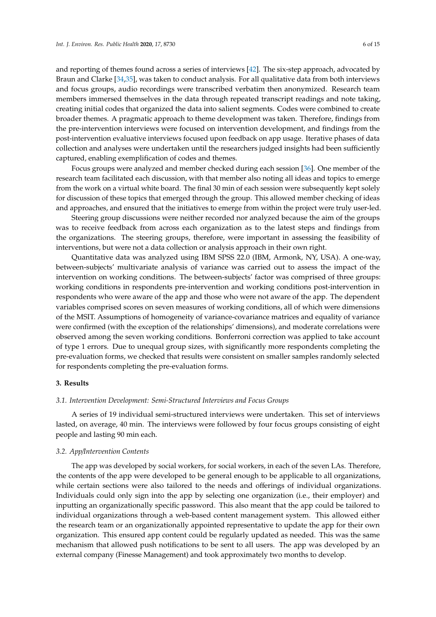and reporting of themes found across a series of interviews [\[42\]](#page-14-6). The six-step approach, advocated by Braun and Clarke [\[34](#page-13-22)[,35\]](#page-14-0), was taken to conduct analysis. For all qualitative data from both interviews and focus groups, audio recordings were transcribed verbatim then anonymized. Research team members immersed themselves in the data through repeated transcript readings and note taking, creating initial codes that organized the data into salient segments. Codes were combined to create broader themes. A pragmatic approach to theme development was taken. Therefore, findings from the pre-intervention interviews were focused on intervention development, and findings from the post-intervention evaluative interviews focused upon feedback on app usage. Iterative phases of data collection and analyses were undertaken until the researchers judged insights had been sufficiently captured, enabling exemplification of codes and themes.

Focus groups were analyzed and member checked during each session [\[36\]](#page-14-1). One member of the research team facilitated each discussion, with that member also noting all ideas and topics to emerge from the work on a virtual white board. The final 30 min of each session were subsequently kept solely for discussion of these topics that emerged through the group. This allowed member checking of ideas and approaches, and ensured that the initiatives to emerge from within the project were truly user-led.

Steering group discussions were neither recorded nor analyzed because the aim of the groups was to receive feedback from across each organization as to the latest steps and findings from the organizations. The steering groups, therefore, were important in assessing the feasibility of interventions, but were not a data collection or analysis approach in their own right.

Quantitative data was analyzed using IBM SPSS 22.0 (IBM, Armonk, NY, USA). A one-way, between-subjects' multivariate analysis of variance was carried out to assess the impact of the intervention on working conditions. The between-subjects' factor was comprised of three groups: working conditions in respondents pre-intervention and working conditions post-intervention in respondents who were aware of the app and those who were not aware of the app. The dependent variables comprised scores on seven measures of working conditions, all of which were dimensions of the MSIT. Assumptions of homogeneity of variance-covariance matrices and equality of variance were confirmed (with the exception of the relationships' dimensions), and moderate correlations were observed among the seven working conditions. Bonferroni correction was applied to take account of type 1 errors. Due to unequal group sizes, with significantly more respondents completing the pre-evaluation forms, we checked that results were consistent on smaller samples randomly selected for respondents completing the pre-evaluation forms.

## **3. Results**

#### *3.1. Intervention Development: Semi-Structured Interviews and Focus Groups*

A series of 19 individual semi-structured interviews were undertaken. This set of interviews lasted, on average, 40 min. The interviews were followed by four focus groups consisting of eight people and lasting 90 min each.

# *3.2. App*/*Intervention Contents*

The app was developed by social workers, for social workers, in each of the seven LAs. Therefore, the contents of the app were developed to be general enough to be applicable to all organizations, while certain sections were also tailored to the needs and offerings of individual organizations. Individuals could only sign into the app by selecting one organization (i.e., their employer) and inputting an organizationally specific password. This also meant that the app could be tailored to individual organizations through a web-based content management system. This allowed either the research team or an organizationally appointed representative to update the app for their own organization. This ensured app content could be regularly updated as needed. This was the same mechanism that allowed push notifications to be sent to all users. The app was developed by an external company (Finesse Management) and took approximately two months to develop.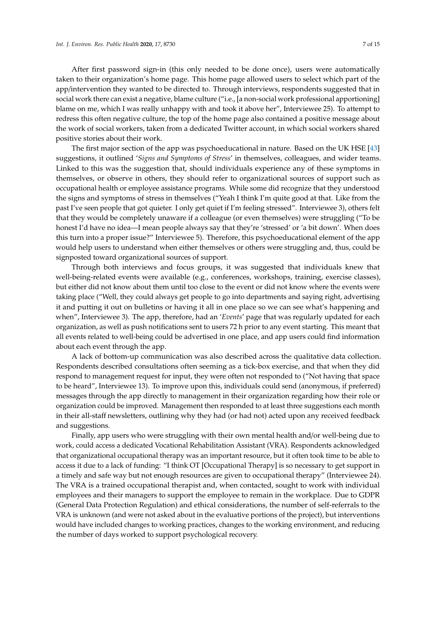After first password sign-in (this only needed to be done once), users were automatically taken to their organization's home page. This home page allowed users to select which part of the app/intervention they wanted to be directed to. Through interviews, respondents suggested that in social work there can exist a negative, blame culture ("i.e., [a non-social work professional apportioning] blame on me, which I was really unhappy with and took it above her", Interviewee 25). To attempt to redress this often negative culture, the top of the home page also contained a positive message about the work of social workers, taken from a dedicated Twitter account, in which social workers shared positive stories about their work.

The first major section of the app was psychoeducational in nature. Based on the UK HSE [\[43\]](#page-14-7) suggestions, it outlined '*Signs and Symptoms of Stress*' in themselves, colleagues, and wider teams. Linked to this was the suggestion that, should individuals experience any of these symptoms in themselves, or observe in others, they should refer to organizational sources of support such as occupational health or employee assistance programs. While some did recognize that they understood the signs and symptoms of stress in themselves ("Yeah I think I'm quite good at that. Like from the past I've seen people that got quieter. I only get quiet if I'm feeling stressed". Interviewee 3), others felt that they would be completely unaware if a colleague (or even themselves) were struggling ("To be honest I'd have no idea—I mean people always say that they're 'stressed' or 'a bit down'. When does this turn into a proper issue?" Interviewee 5). Therefore, this psychoeducational element of the app would help users to understand when either themselves or others were struggling and, thus, could be signposted toward organizational sources of support.

Through both interviews and focus groups, it was suggested that individuals knew that well-being-related events were available (e.g., conferences, workshops, training, exercise classes), but either did not know about them until too close to the event or did not know where the events were taking place ("Well, they could always get people to go into departments and saying right, advertising it and putting it out on bulletins or having it all in one place so we can see what's happening and when", Interviewee 3). The app, therefore, had an '*Events*' page that was regularly updated for each organization, as well as push notifications sent to users 72 h prior to any event starting. This meant that all events related to well-being could be advertised in one place, and app users could find information about each event through the app.

A lack of bottom-up communication was also described across the qualitative data collection. Respondents described consultations often seeming as a tick-box exercise, and that when they did respond to management request for input, they were often not responded to ("Not having that space to be heard", Interviewee 13). To improve upon this, individuals could send (anonymous, if preferred) messages through the app directly to management in their organization regarding how their role or organization could be improved. Management then responded to at least three suggestions each month in their all-staff newsletters, outlining why they had (or had not) acted upon any received feedback and suggestions.

Finally, app users who were struggling with their own mental health and/or well-being due to work, could access a dedicated Vocational Rehabilitation Assistant (VRA). Respondents acknowledged that organizational occupational therapy was an important resource, but it often took time to be able to access it due to a lack of funding: "I think OT [Occupational Therapy] is so necessary to get support in a timely and safe way but not enough resources are given to occupational therapy" (Interviewee 24). The VRA is a trained occupational therapist and, when contacted, sought to work with individual employees and their managers to support the employee to remain in the workplace. Due to GDPR (General Data Protection Regulation) and ethical considerations, the number of self-referrals to the VRA is unknown (and were not asked about in the evaluative portions of the project), but interventions would have included changes to working practices, changes to the working environment, and reducing the number of days worked to support psychological recovery.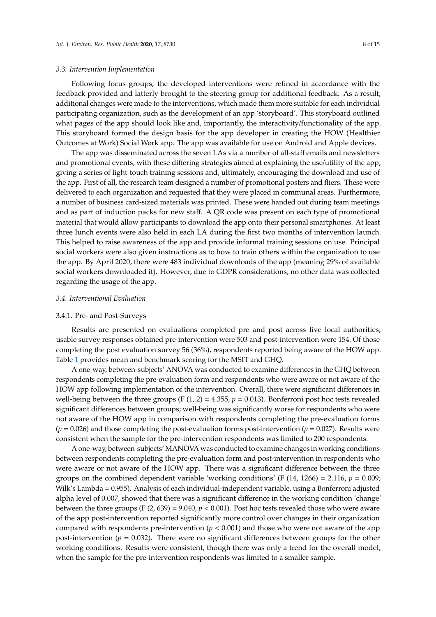## *3.3. Intervention Implementation*

Following focus groups, the developed interventions were refined in accordance with the feedback provided and latterly brought to the steering group for additional feedback. As a result, additional changes were made to the interventions, which made them more suitable for each individual participating organization, such as the development of an app 'storyboard'. This storyboard outlined what pages of the app should look like and, importantly, the interactivity/functionality of the app. This storyboard formed the design basis for the app developer in creating the HOW (Healthier Outcomes at Work) Social Work app. The app was available for use on Android and Apple devices.

The app was disseminated across the seven LAs via a number of all-staff emails and newsletters and promotional events, with these differing strategies aimed at explaining the use/utility of the app, giving a series of light-touch training sessions and, ultimately, encouraging the download and use of the app. First of all, the research team designed a number of promotional posters and fliers. These were delivered to each organization and requested that they were placed in communal areas. Furthermore, a number of business card-sized materials was printed. These were handed out during team meetings and as part of induction packs for new staff. A QR code was present on each type of promotional material that would allow participants to download the app onto their personal smartphones. At least three lunch events were also held in each LA during the first two months of intervention launch. This helped to raise awareness of the app and provide informal training sessions on use. Principal social workers were also given instructions as to how to train others within the organization to use the app. By April 2020, there were 483 individual downloads of the app (meaning 29% of available social workers downloaded it). However, due to GDPR considerations, no other data was collected regarding the usage of the app.

#### *3.4. Interventional Evaluation*

#### 3.4.1. Pre- and Post-Surveys

Results are presented on evaluations completed pre and post across five local authorities; usable survey responses obtained pre-intervention were 503 and post-intervention were 154. Of those completing the post evaluation survey 56 (36%), respondents reported being aware of the HOW app. Table [1](#page-8-0) provides mean and benchmark scoring for the MSIT and GHQ.

A one-way, between-subjects' ANOVA was conducted to examine differences in the GHQ between respondents completing the pre-evaluation form and respondents who were aware or not aware of the HOW app following implementation of the intervention. Overall, there were significant differences in well-being between the three groups (F  $(1, 2) = 4.355$ ,  $p = 0.013$ ). Bonferroni post hoc tests revealed significant differences between groups; well-being was significantly worse for respondents who were not aware of the HOW app in comparison with respondents completing the pre-evaluation forms  $(p = 0.026)$  and those completing the post-evaluation forms post-intervention  $(p = 0.027)$ . Results were consistent when the sample for the pre-intervention respondents was limited to 200 respondents.

A one-way, between-subjects' MANOVA was conducted to examine changes in working conditions between respondents completing the pre-evaluation form and post-intervention in respondents who were aware or not aware of the HOW app. There was a significant difference between the three groups on the combined dependent variable 'working conditions' (F  $(14, 1266) = 2.116$ ,  $p = 0.009$ ; Wilk's Lambda = 0.955). Analysis of each individual-independent variable, using a Bonferroni adjusted alpha level of 0.007, showed that there was a significant difference in the working condition 'change' between the three groups (F  $(2, 639) = 9.040$ ,  $p < 0.001$ ). Post hoc tests revealed those who were aware of the app post-intervention reported significantly more control over changes in their organization compared with respondents pre-intervention  $(p < 0.001)$  and those who were not aware of the app post-intervention ( $p = 0.032$ ). There were no significant differences between groups for the other working conditions. Results were consistent, though there was only a trend for the overall model, when the sample for the pre-intervention respondents was limited to a smaller sample.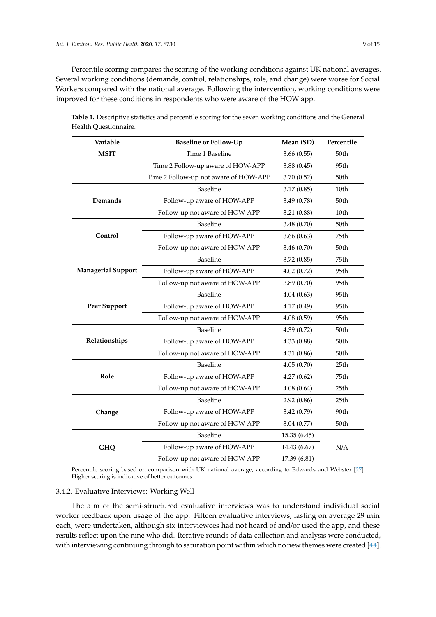Percentile scoring compares the scoring of the working conditions against UK national averages. Several working conditions (demands, control, relationships, role, and change) were worse for Social Workers compared with the national average. Following the intervention, working conditions were improved for these conditions in respondents who were aware of the HOW app.

| Variable                  | <b>Baseline or Follow-Up</b>          | Mean (SD)    | Percentile       |
|---------------------------|---------------------------------------|--------------|------------------|
| <b>MSIT</b>               | Time 1 Baseline                       | 3.66(0.55)   | 50th             |
|                           | Time 2 Follow-up aware of HOW-APP     | 3.88(0.45)   | 95th             |
|                           | Time 2 Follow-up not aware of HOW-APP | 3.70(0.52)   | 50th             |
| Demands                   | Baseline                              | 3.17(0.85)   | 10th             |
|                           | Follow-up aware of HOW-APP            | 3.49(0.78)   | 50th             |
|                           | Follow-up not aware of HOW-APP        | 3.21(0.88)   | 10th             |
| Control                   | Baseline                              | 3.48(0.70)   | 50th             |
|                           | Follow-up aware of HOW-APP            | 3.66(0.63)   | 75th             |
|                           | Follow-up not aware of HOW-APP        | 3.46(0.70)   | 50th             |
| <b>Managerial Support</b> | Baseline                              | 3.72(0.85)   | 75th             |
|                           | Follow-up aware of HOW-APP            | 4.02(0.72)   | 95th             |
|                           | Follow-up not aware of HOW-APP        | 3.89(0.70)   | 95th             |
| <b>Peer Support</b>       | Baseline                              | 4.04(0.63)   | 95th             |
|                           | Follow-up aware of HOW-APP            | 4.17(0.49)   | 95th             |
|                           | Follow-up not aware of HOW-APP        | 4.08(0.59)   | 95th             |
| Relationships             | Baseline                              | 4.39(0.72)   | 50th             |
|                           | Follow-up aware of HOW-APP            | 4.33(0.88)   | 50th             |
|                           | Follow-up not aware of HOW-APP        | 4.31(0.86)   | 50th             |
| Role                      | Baseline                              | 4.05(0.70)   | 25 <sub>th</sub> |
|                           | Follow-up aware of HOW-APP            | 4.27(0.62)   | 75th             |
|                           | Follow-up not aware of HOW-APP        | 4.08(0.64)   | 25 <sub>th</sub> |
| Change                    | Baseline                              | 2.92(0.86)   | 25 <sub>th</sub> |
|                           | Follow-up aware of HOW-APP            | 3.42(0.79)   | 90th             |
|                           | Follow-up not aware of HOW-APP        | 3.04(0.77)   | 50th             |
| <b>GHQ</b>                | Baseline                              | 15.35(6.45)  | N/A              |
|                           | Follow-up aware of HOW-APP            | 14.43 (6.67) |                  |
|                           | Follow-up not aware of HOW-APP        | 17.39 (6.81) |                  |

<span id="page-8-0"></span>**Table 1.** Descriptive statistics and percentile scoring for the seven working conditions and the General Health Questionnaire.

Percentile scoring based on comparison with UK national average, according to Edwards and Webster [\[27\]](#page-13-15). Higher scoring is indicative of better outcomes.

# 3.4.2. Evaluative Interviews: Working Well

The aim of the semi-structured evaluative interviews was to understand individual social worker feedback upon usage of the app. Fifteen evaluative interviews, lasting on average 29 min each, were undertaken, although six interviewees had not heard of and/or used the app, and these results reflect upon the nine who did. Iterative rounds of data collection and analysis were conducted, with interviewing continuing through to saturation point within which no new themes were created [\[44\]](#page-14-8).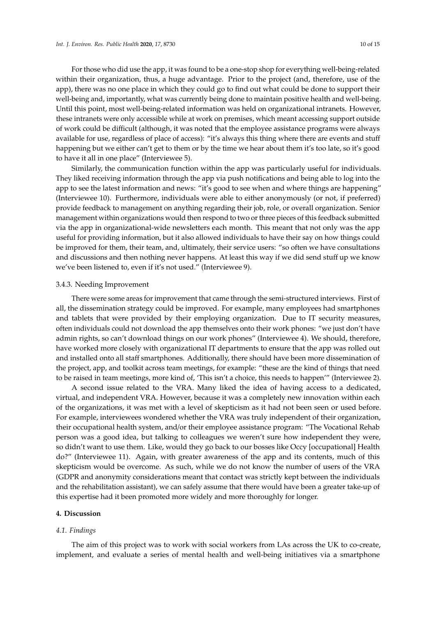For those who did use the app, it was found to be a one-stop shop for everything well-being-related within their organization, thus, a huge advantage. Prior to the project (and, therefore, use of the app), there was no one place in which they could go to find out what could be done to support their well-being and, importantly, what was currently being done to maintain positive health and well-being. Until this point, most well-being-related information was held on organizational intranets. However, these intranets were only accessible while at work on premises, which meant accessing support outside of work could be difficult (although, it was noted that the employee assistance programs were always available for use, regardless of place of access): "it's always this thing where there are events and stuff happening but we either can't get to them or by the time we hear about them it's too late, so it's good to have it all in one place" (Interviewee 5).

Similarly, the communication function within the app was particularly useful for individuals. They liked receiving information through the app via push notifications and being able to log into the app to see the latest information and news: "it's good to see when and where things are happening" (Interviewee 10). Furthermore, individuals were able to either anonymously (or not, if preferred) provide feedback to management on anything regarding their job, role, or overall organization. Senior management within organizations would then respond to two or three pieces of this feedback submitted via the app in organizational-wide newsletters each month. This meant that not only was the app useful for providing information, but it also allowed individuals to have their say on how things could be improved for them, their team, and, ultimately, their service users: "so often we have consultations and discussions and then nothing never happens. At least this way if we did send stuff up we know we've been listened to, even if it's not used." (Interviewee 9).

#### 3.4.3. Needing Improvement

There were some areas for improvement that came through the semi-structured interviews. First of all, the dissemination strategy could be improved. For example, many employees had smartphones and tablets that were provided by their employing organization. Due to IT security measures, often individuals could not download the app themselves onto their work phones: "we just don't have admin rights, so can't download things on our work phones" (Interviewee 4). We should, therefore, have worked more closely with organizational IT departments to ensure that the app was rolled out and installed onto all staff smartphones. Additionally, there should have been more dissemination of the project, app, and toolkit across team meetings, for example: "these are the kind of things that need to be raised in team meetings, more kind of, 'This isn't a choice, this needs to happen'" (Interviewee 2).

A second issue related to the VRA. Many liked the idea of having access to a dedicated, virtual, and independent VRA. However, because it was a completely new innovation within each of the organizations, it was met with a level of skepticism as it had not been seen or used before. For example, interviewees wondered whether the VRA was truly independent of their organization, their occupational health system, and/or their employee assistance program: "The Vocational Rehab person was a good idea, but talking to colleagues we weren't sure how independent they were, so didn't want to use them. Like, would they go back to our bosses like Occy [occupational] Health do?" (Interviewee 11). Again, with greater awareness of the app and its contents, much of this skepticism would be overcome. As such, while we do not know the number of users of the VRA (GDPR and anonymity considerations meant that contact was strictly kept between the individuals and the rehabilitation assistant), we can safely assume that there would have been a greater take-up of this expertise had it been promoted more widely and more thoroughly for longer.

#### **4. Discussion**

#### *4.1. Findings*

The aim of this project was to work with social workers from LAs across the UK to co-create, implement, and evaluate a series of mental health and well-being initiatives via a smartphone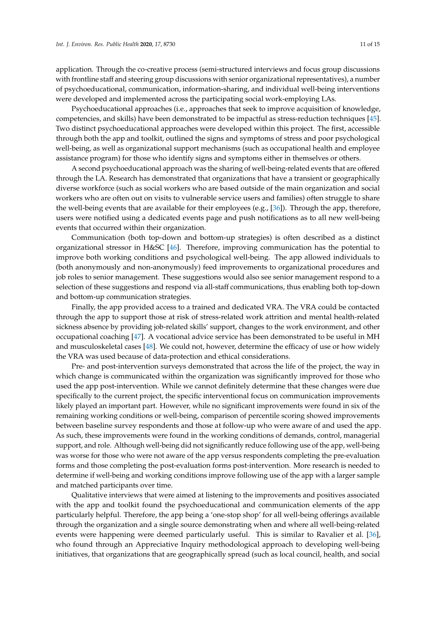application. Through the co-creative process (semi-structured interviews and focus group discussions with frontline staff and steering group discussions with senior organizational representatives), a number of psychoeducational, communication, information-sharing, and individual well-being interventions were developed and implemented across the participating social work-employing LAs.

Psychoeducational approaches (i.e., approaches that seek to improve acquisition of knowledge, competencies, and skills) have been demonstrated to be impactful as stress-reduction techniques [\[45\]](#page-14-9). Two distinct psychoeducational approaches were developed within this project. The first, accessible through both the app and toolkit, outlined the signs and symptoms of stress and poor psychological well-being, as well as organizational support mechanisms (such as occupational health and employee assistance program) for those who identify signs and symptoms either in themselves or others.

A second psychoeducational approach was the sharing of well-being-related events that are offered through the LA. Research has demonstrated that organizations that have a transient or geographically diverse workforce (such as social workers who are based outside of the main organization and social workers who are often out on visits to vulnerable service users and families) often struggle to share the well-being events that are available for their employees (e.g., [\[36\]](#page-14-1)). Through the app, therefore, users were notified using a dedicated events page and push notifications as to all new well-being events that occurred within their organization.

Communication (both top-down and bottom-up strategies) is often described as a distinct organizational stressor in H&SC [\[46\]](#page-14-10). Therefore, improving communication has the potential to improve both working conditions and psychological well-being. The app allowed individuals to (both anonymously and non-anonymously) feed improvements to organizational procedures and job roles to senior management. These suggestions would also see senior management respond to a selection of these suggestions and respond via all-staff communications, thus enabling both top-down and bottom-up communication strategies.

Finally, the app provided access to a trained and dedicated VRA. The VRA could be contacted through the app to support those at risk of stress-related work attrition and mental health-related sickness absence by providing job-related skills' support, changes to the work environment, and other occupational coaching [\[47\]](#page-14-11). A vocational advice service has been demonstrated to be useful in MH and musculoskeletal cases [\[48\]](#page-14-12). We could not, however, determine the efficacy of use or how widely the VRA was used because of data-protection and ethical considerations.

Pre- and post-intervention surveys demonstrated that across the life of the project, the way in which change is communicated within the organization was significantly improved for those who used the app post-intervention. While we cannot definitely determine that these changes were due specifically to the current project, the specific interventional focus on communication improvements likely played an important part. However, while no significant improvements were found in six of the remaining working conditions or well-being, comparison of percentile scoring showed improvements between baseline survey respondents and those at follow-up who were aware of and used the app. As such, these improvements were found in the working conditions of demands, control, managerial support, and role. Although well-being did not significantly reduce following use of the app, well-being was worse for those who were not aware of the app versus respondents completing the pre-evaluation forms and those completing the post-evaluation forms post-intervention. More research is needed to determine if well-being and working conditions improve following use of the app with a larger sample and matched participants over time.

Qualitative interviews that were aimed at listening to the improvements and positives associated with the app and toolkit found the psychoeducational and communication elements of the app particularly helpful. Therefore, the app being a 'one-stop shop' for all well-being offerings available through the organization and a single source demonstrating when and where all well-being-related events were happening were deemed particularly useful. This is similar to Ravalier et al. [\[36\]](#page-14-1), who found through an Appreciative Inquiry methodological approach to developing well-being initiatives, that organizations that are geographically spread (such as local council, health, and social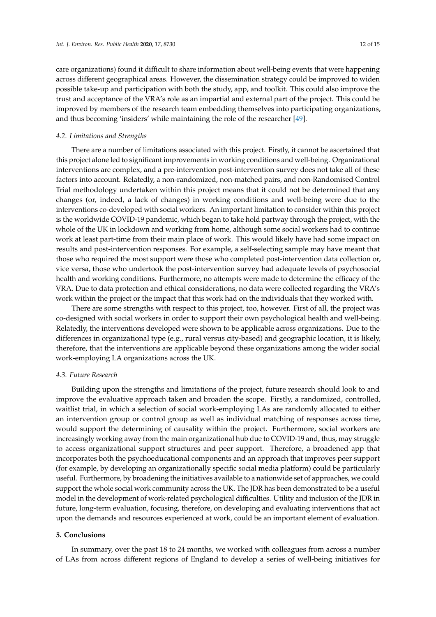care organizations) found it difficult to share information about well-being events that were happening across different geographical areas. However, the dissemination strategy could be improved to widen possible take-up and participation with both the study, app, and toolkit. This could also improve the trust and acceptance of the VRA's role as an impartial and external part of the project. This could be improved by members of the research team embedding themselves into participating organizations, and thus becoming 'insiders' while maintaining the role of the researcher [\[49\]](#page-14-13).

## *4.2. Limitations and Strengths*

There are a number of limitations associated with this project. Firstly, it cannot be ascertained that this project alone led to significant improvements in working conditions and well-being. Organizational interventions are complex, and a pre-intervention post-intervention survey does not take all of these factors into account. Relatedly, a non-randomized, non-matched pairs, and non-Randomised Control Trial methodology undertaken within this project means that it could not be determined that any changes (or, indeed, a lack of changes) in working conditions and well-being were due to the interventions co-developed with social workers. An important limitation to consider within this project is the worldwide COVID-19 pandemic, which began to take hold partway through the project, with the whole of the UK in lockdown and working from home, although some social workers had to continue work at least part-time from their main place of work. This would likely have had some impact on results and post-intervention responses. For example, a self-selecting sample may have meant that those who required the most support were those who completed post-intervention data collection or, vice versa, those who undertook the post-intervention survey had adequate levels of psychosocial health and working conditions. Furthermore, no attempts were made to determine the efficacy of the VRA. Due to data protection and ethical considerations, no data were collected regarding the VRA's work within the project or the impact that this work had on the individuals that they worked with.

There are some strengths with respect to this project, too, however. First of all, the project was co-designed with social workers in order to support their own psychological health and well-being. Relatedly, the interventions developed were shown to be applicable across organizations. Due to the differences in organizational type (e.g., rural versus city-based) and geographic location, it is likely, therefore, that the interventions are applicable beyond these organizations among the wider social work-employing LA organizations across the UK.

## *4.3. Future Research*

Building upon the strengths and limitations of the project, future research should look to and improve the evaluative approach taken and broaden the scope. Firstly, a randomized, controlled, waitlist trial, in which a selection of social work-employing LAs are randomly allocated to either an intervention group or control group as well as individual matching of responses across time, would support the determining of causality within the project. Furthermore, social workers are increasingly working away from the main organizational hub due to COVID-19 and, thus, may struggle to access organizational support structures and peer support. Therefore, a broadened app that incorporates both the psychoeducational components and an approach that improves peer support (for example, by developing an organizationally specific social media platform) could be particularly useful. Furthermore, by broadening the initiatives available to a nationwide set of approaches, we could support the whole social work community across the UK. The JDR has been demonstrated to be a useful model in the development of work-related psychological difficulties. Utility and inclusion of the JDR in future, long-term evaluation, focusing, therefore, on developing and evaluating interventions that act upon the demands and resources experienced at work, could be an important element of evaluation.

# **5. Conclusions**

In summary, over the past 18 to 24 months, we worked with colleagues from across a number of LAs from across different regions of England to develop a series of well-being initiatives for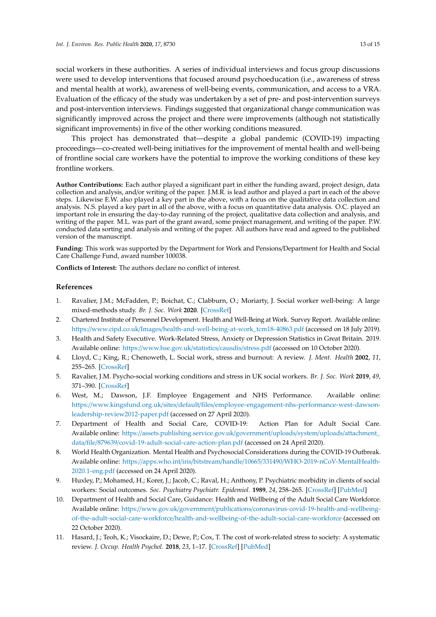social workers in these authorities. A series of individual interviews and focus group discussions were used to develop interventions that focused around psychoeducation (i.e., awareness of stress and mental health at work), awareness of well-being events, communication, and access to a VRA. Evaluation of the efficacy of the study was undertaken by a set of pre- and post-intervention surveys and post-intervention interviews. Findings suggested that organizational change communication was significantly improved across the project and there were improvements (although not statistically significant improvements) in five of the other working conditions measured.

This project has demonstrated that—despite a global pandemic (COVID-19) impacting proceedings—co-created well-being initiatives for the improvement of mental health and well-being of frontline social care workers have the potential to improve the working conditions of these key frontline workers.

**Author Contributions:** Each author played a significant part in either the funding award, project design, data collection and analysis, and/or writing of the paper. J.M.R. is lead author and played a part in each of the above steps. Likewise E.W. also played a key part in the above, with a focus on the qualitative data collection and analysis. N.S. played a key part in all of the above, with a focus on quantitative data analysis. O.C. played an important role in ensuring the day-to-day running of the project, qualitative data collection and analysis, and writing of the paper. M.L. was part of the grant award, some project management, and writing of the paper. P.W. conducted data sorting and analysis and writing of the paper. All authors have read and agreed to the published version of the manuscript.

**Funding:** This work was supported by the Department for Work and Pensions/Department for Health and Social Care Challenge Fund, award number 100038.

**Conflicts of Interest:** The authors declare no conflict of interest.

# **References**

- <span id="page-12-0"></span>1. Ravalier, J.M.; McFadden, P.; Boichat, C.; Clabburn, O.; Moriarty, J. Social worker well-being: A large mixed-methods study. *Br. J. Soc. Work* **2020**. [\[CrossRef\]](http://dx.doi.org/10.1093/bjsw/bcaa078)
- <span id="page-12-1"></span>2. Chartered Institute of Personnel Development. Health and Well-Being at Work. Survey Report. Available online: https://www.cipd.co.uk/Images/[health-and-well-being-at-work\\_tcm18-40863.pdf](https://www.cipd.co.uk/Images/health-and-well-being-at-work_tcm18-40863.pdf) (accessed on 18 July 2019).
- <span id="page-12-2"></span>3. Health and Safety Executive. Work-Related Stress, Anxiety or Depression Statistics in Great Britain. 2019. Available online: https://[www.hse.gov.uk](https://www.hse.gov.uk/statistics/causdis/stress.pdf)/statistics/causdis/stress.pdf (accessed on 10 October 2020).
- <span id="page-12-3"></span>4. Lloyd, C.; King, R.; Chenoweth, L. Social work, stress and burnout: A review. *J. Ment. Health* **2002**, *11*, 255–265. [\[CrossRef\]](http://dx.doi.org/10.1080/09638230020023642)
- <span id="page-12-4"></span>5. Ravalier, J.M. Psycho-social working conditions and stress in UK social workers. *Br. J. Soc. Work* **2019**, *49*, 371–390. [\[CrossRef\]](http://dx.doi.org/10.1093/bjsw/bcy023)
- <span id="page-12-5"></span>6. West, M.; Dawson, J.F. Employee Engagement and NHS Performance. Available online: https://www.kingsfund.org.uk/sites/default/files/[employee-engagement-nhs-performance-west-dawson](https://www.kingsfund.org.uk/sites/default/files/employee-engagement-nhs-performance-west-dawson-leadership-review2012-paper.pdf)[leadership-review2012-paper.pdf](https://www.kingsfund.org.uk/sites/default/files/employee-engagement-nhs-performance-west-dawson-leadership-review2012-paper.pdf) (accessed on 27 April 2020).
- <span id="page-12-6"></span>7. Department of Health and Social Care, COVID-19: Action Plan for Adult Social Care. Available online: https://[assets.publishing.service.gov.uk](https://assets.publishing.service.gov.uk/government/uploads/system/uploads/attachment_data/file/879639/covid-19-adult-social-care-action-plan.pdf)/government/uploads/system/uploads/attachment\_ data/file/879639/[covid-19-adult-social-care-action-plan.pdf](https://assets.publishing.service.gov.uk/government/uploads/system/uploads/attachment_data/file/879639/covid-19-adult-social-care-action-plan.pdf) (accessed on 24 April 2020).
- <span id="page-12-7"></span>8. World Health Organization. Mental Health and Psychosocial Considerations during the COVID-19 Outbreak. Available online: https://apps.who.int/iris/bitstream/handle/10665/331490/[WHO-2019-nCoV-MentalHealth-](https://apps.who.int/iris/bitstream/handle/10665/331490/WHO-2019-nCoV-MentalHealth-2020.1-eng.pdf)[2020.1-eng.pdf](https://apps.who.int/iris/bitstream/handle/10665/331490/WHO-2019-nCoV-MentalHealth-2020.1-eng.pdf) (accessed on 24 April 2020).
- <span id="page-12-8"></span>9. Huxley, P.; Mohamed, H.; Korer, J.; Jacob, C.; Raval, H.; Anthony, P. Psychiatric morbidity in clients of social workers: Social outcomes. *Soc. Psychiatry Psychiatr. Epidemiol.* **1989**, *24*, 258–265. [\[CrossRef\]](http://dx.doi.org/10.1007/BF01788968) [\[PubMed\]](http://www.ncbi.nlm.nih.gov/pubmed/2510319)
- <span id="page-12-9"></span>10. Department of Health and Social Care, Guidance: Health and Wellbeing of the Adult Social Care Workforce. Available online: https://www.gov.uk/government/publications/[coronavirus-covid-19-health-and-wellbeing](https://www.gov.uk/government/publications/coronavirus-covid-19-health-and-wellbeing-of-the-adult-social-care-workforce/health-and-wellbeing-of-the-adult-social-care-workforce)of-the-adult-social-care-workforce/[health-and-wellbeing-of-the-adult-social-care-workforce](https://www.gov.uk/government/publications/coronavirus-covid-19-health-and-wellbeing-of-the-adult-social-care-workforce/health-and-wellbeing-of-the-adult-social-care-workforce) (accessed on 22 October 2020).
- <span id="page-12-10"></span>11. Hasard, J.; Teoh, K.; Visockaire, D.; Dewe, P.; Cox, T. The cost of work-related stress to society: A systematic review. *J. Occup. Health Psychol.* **2018**, *23*, 1–17. [\[CrossRef\]](http://dx.doi.org/10.1037/ocp0000069) [\[PubMed\]](http://www.ncbi.nlm.nih.gov/pubmed/28358567)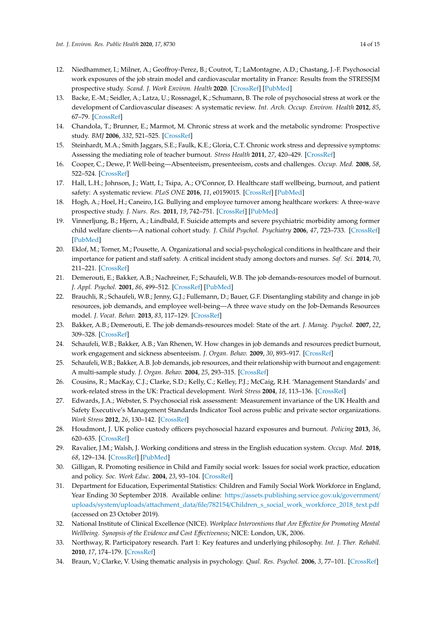- <span id="page-13-0"></span>12. Niedhammer, I.; Milner, A.; Geoffroy-Perez, B.; Coutrot, T.; LaMontagne, A.D.; Chastang, J.-F. Psychosocial work exposures of the job strain model and cardiovascular mortality in France: Results from the STRESSJM prospective study. *Scand. J. Work Environ. Health* **2020**. [\[CrossRef\]](http://dx.doi.org/10.5271/sjweh.3902) [\[PubMed\]](http://www.ncbi.nlm.nih.gov/pubmed/32436963)
- <span id="page-13-1"></span>13. Backe, E.-M.; Seidler, A.; Latza, U.; Rossnagel, K.; Schumann, B. The role of psychosocial stress at work or the development of Cardiovascular diseases: A systematic review. *Int. Arch. Occup. Environ. Health* **2012**, *85*, 67–79. [\[CrossRef\]](http://dx.doi.org/10.1007/s00420-011-0643-6)
- <span id="page-13-2"></span>14. Chandola, T.; Brunner, E.; Marmot, M. Chronic stress at work and the metabolic syndrome: Prospective study. *BMJ* **2006**, *332*, 521–525. [\[CrossRef\]](http://dx.doi.org/10.1136/bmj.38693.435301.80)
- <span id="page-13-3"></span>15. Steinhardt, M.A.; Smith Jaggars, S.E.; Faulk, K.E.; Gloria, C.T. Chronic work stress and depressive symptoms: Assessing the mediating role of teacher burnout. *Stress Health* **2011**, *27*, 420–429. [\[CrossRef\]](http://dx.doi.org/10.1002/smi.1394)
- <span id="page-13-4"></span>16. Cooper, C.; Dewe, P. Well-being—Absenteeism, presenteeism, costs and challenges. *Occup. Med.* **2008**, *58*, 522–524. [\[CrossRef\]](http://dx.doi.org/10.1093/occmed/kqn124)
- <span id="page-13-5"></span>17. Hall, L.H.; Johnson, J.; Watt, I.; Tsipa, A.; O'Connor, D. Healthcare staff wellbeing, burnout, and patient safety: A systematic review. *PLoS ONE* **2016**, *11*, e0159015. [\[CrossRef\]](http://dx.doi.org/10.1371/journal.pone.0159015) [\[PubMed\]](http://www.ncbi.nlm.nih.gov/pubmed/27391946)
- <span id="page-13-6"></span>18. Hogh, A.; Hoel, H.; Caneiro, I.G. Bullying and employee turnover among healthcare workers: A three-wave prospective study. *J. Nurs. Res.* **2011**, *19*, 742–751. [\[CrossRef\]](http://dx.doi.org/10.1111/j.1365-2834.2011.01264.x) [\[PubMed\]](http://www.ncbi.nlm.nih.gov/pubmed/21899627)
- <span id="page-13-7"></span>19. Vinnerljung, B.; Hjern, A.; Lindbald, F. Suicide attempts and severe psychiatric morbidity among former child welfare clients—A national cohort study. *J. Child Psychol. Psychiatry* **2006**, *47*, 723–733. [\[CrossRef\]](http://dx.doi.org/10.1111/j.1469-7610.2005.01530.x) [\[PubMed\]](http://www.ncbi.nlm.nih.gov/pubmed/16790007)
- <span id="page-13-8"></span>20. Eklof, M.; Torner, M.; Pousette, A. Organizational and social-psychological conditions in healthcare and their importance for patient and staff safety. A critical incident study among doctors and nurses. *Saf. Sci.* **2014**, *70*, 211–221. [\[CrossRef\]](http://dx.doi.org/10.1016/j.ssci.2014.06.007)
- <span id="page-13-9"></span>21. Demerouti, E.; Bakker, A.B.; Nachreiner, F.; Schaufeli, W.B. The job demands-resources model of burnout. *J. Appl. Psychol.* **2001**, *86*, 499–512. [\[CrossRef\]](http://dx.doi.org/10.1037/0021-9010.86.3.499) [\[PubMed\]](http://www.ncbi.nlm.nih.gov/pubmed/11419809)
- <span id="page-13-10"></span>22. Brauchli, R.; Schaufeli, W.B.; Jenny, G.J.; Fullemann, D.; Bauer, G.F. Disentangling stability and change in job resources, job demands, and employee well-being—A three wave study on the Job-Demands Resources model. *J. Vocat. Behav.* **2013**, *83*, 117–129. [\[CrossRef\]](http://dx.doi.org/10.1016/j.jvb.2013.03.003)
- <span id="page-13-11"></span>23. Bakker, A.B.; Demerouti, E. The job demands-resources model: State of the art. *J. Manag. Psychol.* **2007**, *22*, 309–328. [\[CrossRef\]](http://dx.doi.org/10.1108/02683940710733115)
- <span id="page-13-12"></span>24. Schaufeli, W.B.; Bakker, A.B.; Van Rhenen, W. How changes in job demands and resources predict burnout, work engagement and sickness absenteeism. *J. Organ. Behav.* **2009**, *30*, 893–917. [\[CrossRef\]](http://dx.doi.org/10.1002/job.595)
- <span id="page-13-13"></span>25. Schaufeli, W.B.; Bakker, A.B. Job demands, job resources, and their relationship with burnout and engagement: A multi-sample study. *J. Organ. Behav.* **2004**, *25*, 293–315. [\[CrossRef\]](http://dx.doi.org/10.1002/job.248)
- <span id="page-13-14"></span>26. Cousins, R.; MacKay, C.J.; Clarke, S.D.; Kelly, C.; Kelley, P.J.; McCaig, R.H. 'Management Standards' and work-related stress in the UK: Practical development. *Work Stress* **2004**, *18*, 113–136. [\[CrossRef\]](http://dx.doi.org/10.1080/02678370410001734322)
- <span id="page-13-15"></span>27. Edwards, J.A.; Webster, S. Psychosocial risk assessment: Measurement invariance of the UK Health and Safety Executive's Management Standards Indicator Tool across public and private sector organizations. *Work Stress* **2012**, *26*, 130–142. [\[CrossRef\]](http://dx.doi.org/10.1080/02678373.2012.688554)
- <span id="page-13-16"></span>28. Houdmont, J. UK police custody officers psychosocial hazard exposures and burnout. *Policing* **2013**, *36*, 620–635. [\[CrossRef\]](http://dx.doi.org/10.1108/PIJPSM-11-2012-0109)
- <span id="page-13-17"></span>29. Ravalier, J.M.; Walsh, J. Working conditions and stress in the English education system. *Occup. Med.* **2018**, *68*, 129–134. [\[CrossRef\]](http://dx.doi.org/10.1093/occmed/kqy017) [\[PubMed\]](http://www.ncbi.nlm.nih.gov/pubmed/29471468)
- <span id="page-13-18"></span>30. Gilligan, R. Promoting resilience in Child and Family social work: Issues for social work practice, education and policy. *Soc. Work Educ.* **2004**, *23*, 93–104. [\[CrossRef\]](http://dx.doi.org/10.1080/0261547032000175728)
- <span id="page-13-19"></span>31. Department for Education, Experimental Statistics: Children and Family Social Work Workforce in England, Year Ending 30 September 2018. Available online: https://[assets.publishing.service.gov.uk](https://assets.publishing.service.gov.uk/government/uploads/system/uploads/attachment_data/file/782154/Children_s_social_work_workforce_2018_text.pdf)/government/ uploads/system/uploads/attachment\_data/file/782154/[Children\\_s\\_social\\_work\\_workforce\\_2018\\_text.pdf](https://assets.publishing.service.gov.uk/government/uploads/system/uploads/attachment_data/file/782154/Children_s_social_work_workforce_2018_text.pdf) (accessed on 23 October 2019).
- <span id="page-13-20"></span>32. National Institute of Clinical Excellence (NICE). *Workplace Interventions that Are E*ff*ective for Promoting Mental Wellbeing. Synopsis of the Evidence and Cost E*ff*ectiveness*; NICE: London, UK, 2006.
- <span id="page-13-21"></span>33. Northway, R. Participatory research. Part 1: Key features and underlying philosophy. *Int. J. Ther. Rehabil.* **2010**, *17*, 174–179. [\[CrossRef\]](http://dx.doi.org/10.12968/ijtr.2010.17.4.47300)
- <span id="page-13-22"></span>34. Braun, V.; Clarke, V. Using thematic analysis in psychology. *Qual. Res. Psychol.* **2006**, *3*, 77–101. [\[CrossRef\]](http://dx.doi.org/10.1191/1478088706qp063oa)